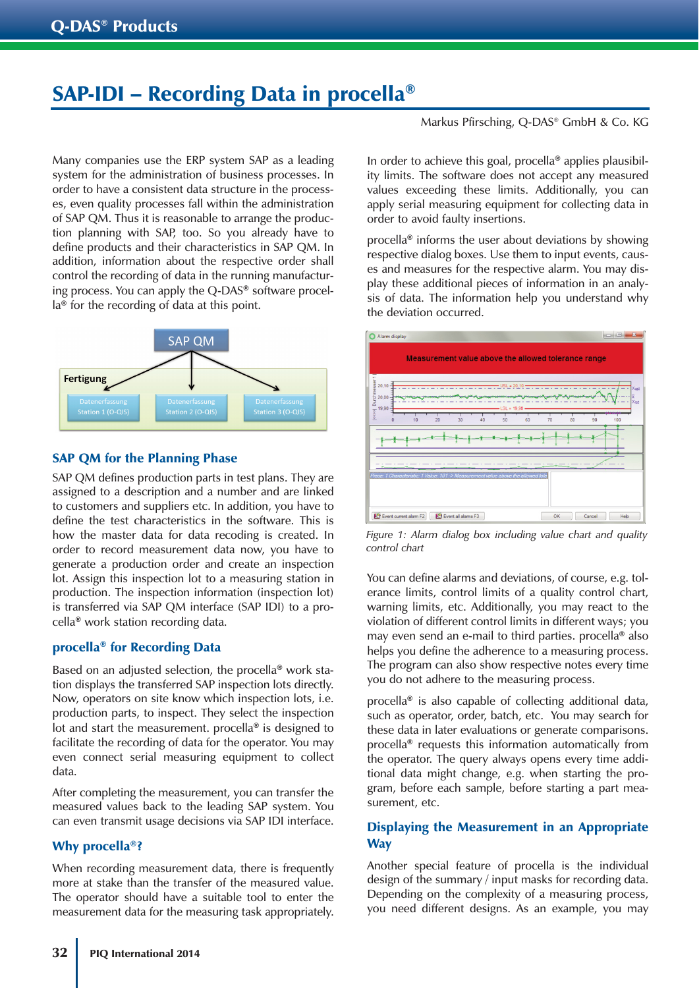# SAP-IDI – Recording Data in procella®

Many companies use the ERP system SAP as a leading system for the administration of business processes. In order to have a consistent data structure in the processes, even quality processes fall within the administration of SAP QM. Thus it is reasonable to arrange the production planning with SAP, too. So you already have to define products and their characteristics in SAP QM. In addition, information about the respective order shall control the recording of data in the running manufacturing process. You can apply the Q-DAS® software procella® for the recording of data at this point.



#### SAP QM for the Planning Phase

SAP QM defines production parts in test plans. They are assigned to a description and a number and are linked to customers and suppliers etc. In addition, you have to define the test characteristics in the software. This is how the master data for data recoding is created. In order to record measurement data now, you have to generate a production order and create an inspection lot. Assign this inspection lot to a measuring station in production. The inspection information (inspection lot) is transferred via SAP QM interface (SAP IDI) to a procella® work station recording data.

#### procella® for Recording Data

Based on an adjusted selection, the procella® work station displays the transferred SAP inspection lots directly. Now, operators on site know which inspection lots, i.e. production parts, to inspect. They select the inspection lot and start the measurement. procella® is designed to facilitate the recording of data for the operator. You may even connect serial measuring equipment to collect data.

After completing the measurement, you can transfer the measured values back to the leading SAP system. You can even transmit usage decisions via SAP IDI interface.

# Why procella<sup>®?</sup>

When recording measurement data, there is frequently more at stake than the transfer of the measured value. The operator should have a suitable tool to enter the measurement data for the measuring task appropriately. Markus Pfirsching, Q-DAS® GmbH & Co. KG

In order to achieve this goal, procella® applies plausibility limits. The software does not accept any measured values exceeding these limits. Additionally, you can apply serial measuring equipment for collecting data in order to avoid faulty insertions.

procella® informs the user about deviations by showing respective dialog boxes. Use them to input events, causes and measures for the respective alarm. You may display these additional pieces of information in an analysis of data. The information help you understand why the deviation occurred.



*Figure 1: Alarm dialog box including value chart and quality control chart* 

You can define alarms and deviations, of course, e.g. tolerance limits, control limits of a quality control chart, warning limits, etc. Additionally, you may react to the violation of different control limits in different ways; you may even send an e-mail to third parties. procella® also helps you define the adherence to a measuring process. The program can also show respective notes every time you do not adhere to the measuring process.

procella® is also capable of collecting additional data, such as operator, order, batch, etc. You may search for these data in later evaluations or generate comparisons. procella® requests this information automatically from the operator. The query always opens every time additional data might change, e.g. when starting the program, before each sample, before starting a part measurement, etc.

# Displaying the Measurement in an Appropriate **Way**

Another special feature of procella is the individual design of the summary / input masks for recording data. Depending on the complexity of a measuring process, you need different designs. As an example, you may